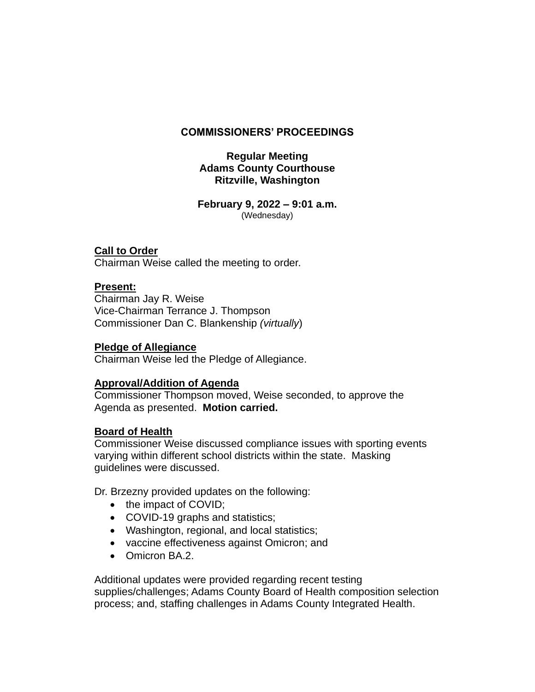## **COMMISSIONERS' PROCEEDINGS**

## **Regular Meeting Adams County Courthouse Ritzville, Washington**

**February 9, 2022 – 9:01 a.m.** (Wednesday)

### **Call to Order**

Chairman Weise called the meeting to order.

### **Present:**

Chairman Jay R. Weise Vice-Chairman Terrance J. Thompson Commissioner Dan C. Blankenship *(virtually*)

#### **Pledge of Allegiance**

Chairman Weise led the Pledge of Allegiance.

### **Approval/Addition of Agenda**

Commissioner Thompson moved, Weise seconded, to approve the Agenda as presented. **Motion carried.**

### **Board of Health**

Commissioner Weise discussed compliance issues with sporting events varying within different school districts within the state. Masking guidelines were discussed.

Dr. Brzezny provided updates on the following:

- the impact of COVID;
- COVID-19 graphs and statistics;
- Washington, regional, and local statistics;
- vaccine effectiveness against Omicron; and
- Omicron BA.2.

Additional updates were provided regarding recent testing supplies/challenges; Adams County Board of Health composition selection process; and, staffing challenges in Adams County Integrated Health.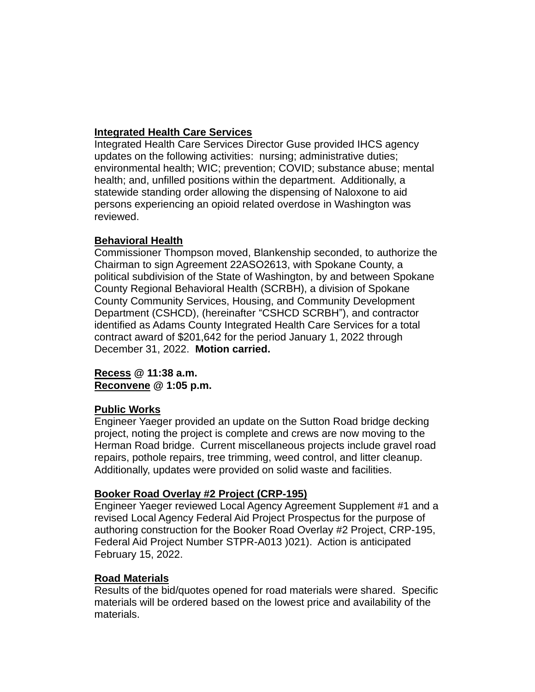# **Integrated Health Care Services**

Integrated Health Care Services Director Guse provided IHCS agency updates on the following activities: nursing; administrative duties; environmental health; WIC; prevention; COVID; substance abuse; mental health; and, unfilled positions within the department. Additionally, a statewide standing order allowing the dispensing of Naloxone to aid persons experiencing an opioid related overdose in Washington was reviewed.

## **Behavioral Health**

Commissioner Thompson moved, Blankenship seconded, to authorize the Chairman to sign Agreement 22ASO2613, with Spokane County, a political subdivision of the State of Washington, by and between Spokane County Regional Behavioral Health (SCRBH), a division of Spokane County Community Services, Housing, and Community Development Department (CSHCD), (hereinafter "CSHCD SCRBH"), and contractor identified as Adams County Integrated Health Care Services for a total contract award of \$201,642 for the period January 1, 2022 through December 31, 2022.**Motion carried.**

## **Recess @ 11:38 a.m. Reconvene @ 1:05 p.m.**

## **Public Works**

Engineer Yaeger provided an update on the Sutton Road bridge decking project, noting the project is complete and crews are now moving to the Herman Road bridge. Current miscellaneous projects include gravel road repairs, pothole repairs, tree trimming, weed control, and litter cleanup. Additionally, updates were provided on solid waste and facilities.

# **Booker Road Overlay #2 Project (CRP-195)**

Engineer Yaeger reviewed Local Agency Agreement Supplement #1 and a revised Local Agency Federal Aid Project Prospectus for the purpose of authoring construction for the Booker Road Overlay #2 Project, CRP-195, Federal Aid Project Number STPR-A013 )021). Action is anticipated February 15, 2022.

## **Road Materials**

Results of the bid/quotes opened for road materials were shared. Specific materials will be ordered based on the lowest price and availability of the materials.